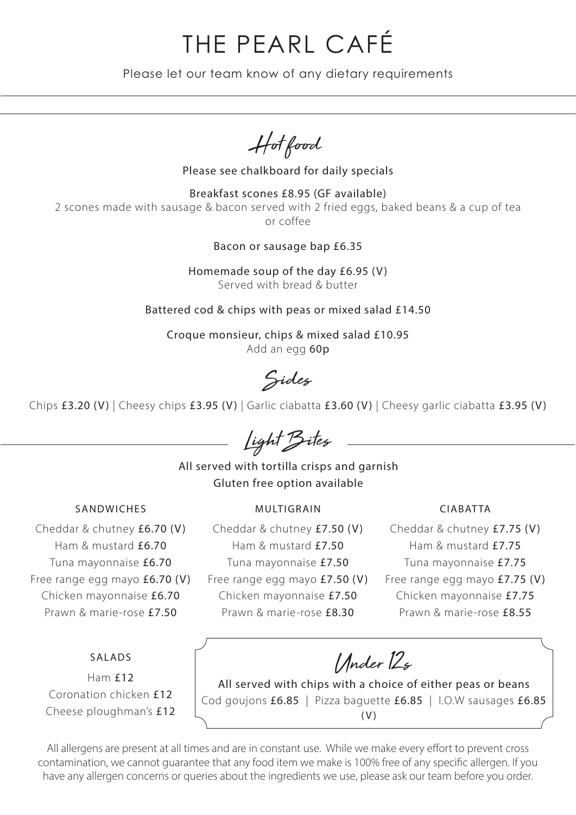# THE PEARL CAFÉ

Please let our team know of any dietary requirements

Hot food

Please see chalkboard for daily specials

Breakfast scones £8.95 (GF available) 2 scones made with sausage & bacon served with 2 fried eggs, baked beans & a cup of tea or coffee

Bacon or sausage bap £6.35

Homemade soup of the day £6.95 (V) Served with bread & butter

Battered cod & chips with peas or mixed salad £14.50

Croque monsieur, chips & mixed salad £10.95 Add an egg 60p

Sides

Chips £3.20 (V) | Cheesy chips £3.95 (V) | Garlic ciabatta £3.60 (V) | Cheesy garlic ciabatta £3.95 (V)

Light Bites

All served with tortilla crisps and garnish Gluten free option available

### SANDWICHES MULTIGRAIN CIABATTA

Cheddar & chutney £6.70 (V) Ham & mustard £6.70 Tuna mayonnaise £6.70 Free range egg mayo £6.70 (V) Chicken mayonnaise £6.70 Prawn & marie-rose £7.50

### SALADS

Ham £12 Coronation chicken £12 Cheese ploughman's £12

Cheddar & chutney £7.50 (V) Ham & mustard £7.50 Tuna mayonnaise £7.50 Free range egg mayo £7.50 (V) Chicken mayonnaise £7.50 Prawn & marie-rose £8.30

Cheddar & chutney £7.75 (V) Ham & mustard £7.75 Tuna mayonnaise £7.75 Free range egg mayo £7.75 (V) Chicken mayonnaise £7.75 Prawn & marie-rose £8.55

Under 12s

All served with chips with a choice of either peas or beans Cod goujons £6.85 | Pizza baguette £6.85 | I.O.W sausages £6.85 (V)

All allergens are present at all times and are in constant use. While we make every effort to prevent cross contamination, we cannot guarantee that any food item we make is 100% free of any specific allergen. If you have any allergen concerns or queries about the ingredients we use, please ask our team before you order.